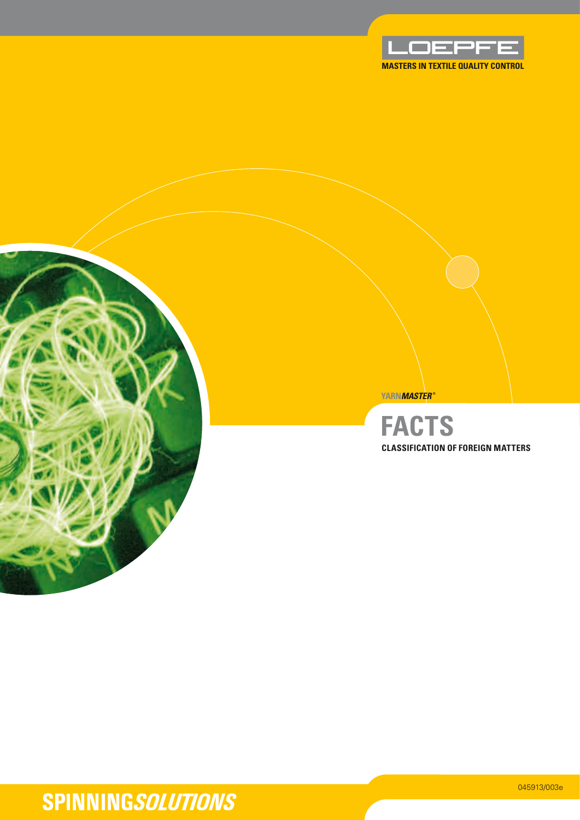





 $\blacksquare$   $\blacksquare$ **yarn***MASTER* **® Classification of Foreign mattersfacts**

# **SPINNINGSOLUTIONS**

045913/003e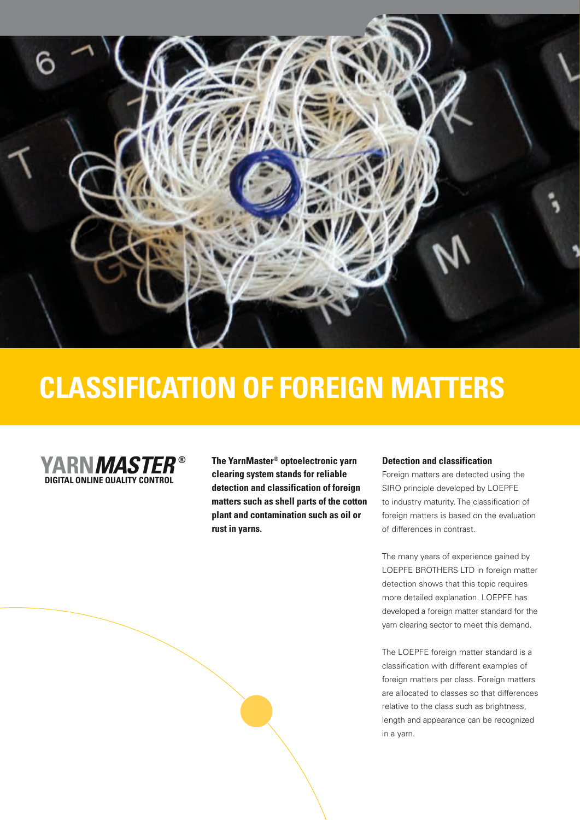

# **Classification of Foreign matters**



**yarn***MASTER* **® Digital online Quality Control** 

**The YarnMaster® optoelectronic yarn clearing system stands for reliable detection and classification of foreign matters such as shell parts of the cotton plant and contamination such as oil or rust in yarns.**

#### **Detection and classification**

Foreign matters are detected using the SIRO principle developed by LOEPFE to industry maturity. The classification of foreign matters is based on the evaluation of differences in contrast.

The many years of experience gained by LOEPFE BROTHERS LTD in foreign matter detection shows that this topic requires more detailed explanation. LOEPFE has developed a foreign matter standard for the yarn clearing sector to meet this demand.

The LOEPFE foreign matter standard is a classification with different examples of foreign matters per class. Foreign matters are allocated to classes so that differences relative to the class such as brightness, length and appearance can be recognized in a yarn.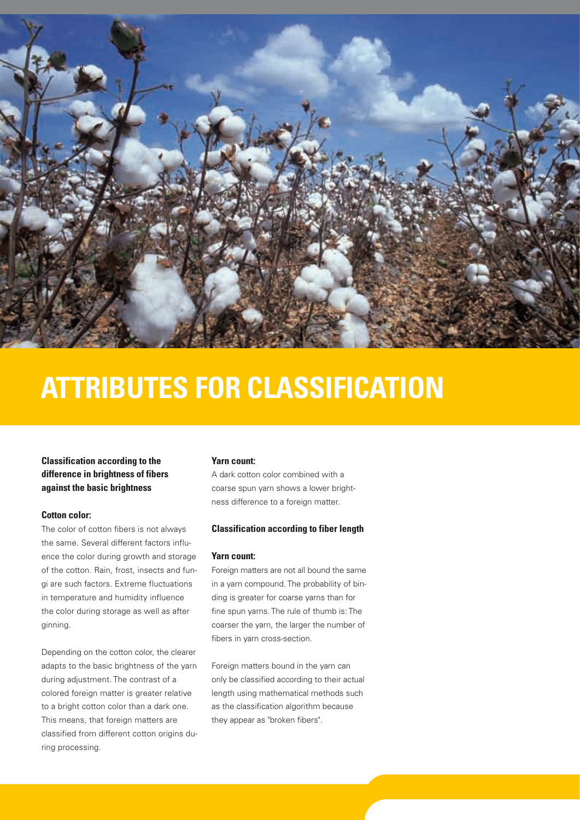

# **Attributes for classification**

### **Classification according to the difference in brightness of fibers against the basic brightness**

### **Cotton color:**

The color of cotton fibers is not always the same. Several different factors influence the color during growth and storage of the cotton. Rain, frost, insects and fungi are such factors. Extreme fluctuations in temperature and humidity influence the color during storage as well as after ginning.

Depending on the cotton color, the clearer adapts to the basic brightness of the yarn during adjustment. The contrast of a colored foreign matter is greater relative to a bright cotton color than a dark one. This means, that foreign matters are classified from different cotton origins during processing.

### **Yarn count:**

A dark cotton color combined with a coarse spun yarn shows a lower brightness difference to a foreign matter.

### **Classification according to fiber length**

### **Yarn count:**

Foreign matters are not all bound the same in a yarn compound. The probability of binding is greater for coarse yarns than for fine spun yarns. The rule of thumb is: The coarser the yarn, the larger the number of fibers in yarn cross-section.

Foreign matters bound in the yarn can only be classified according to their actual length using mathematical methods such as the classification algorithm because they appear as "broken fibers".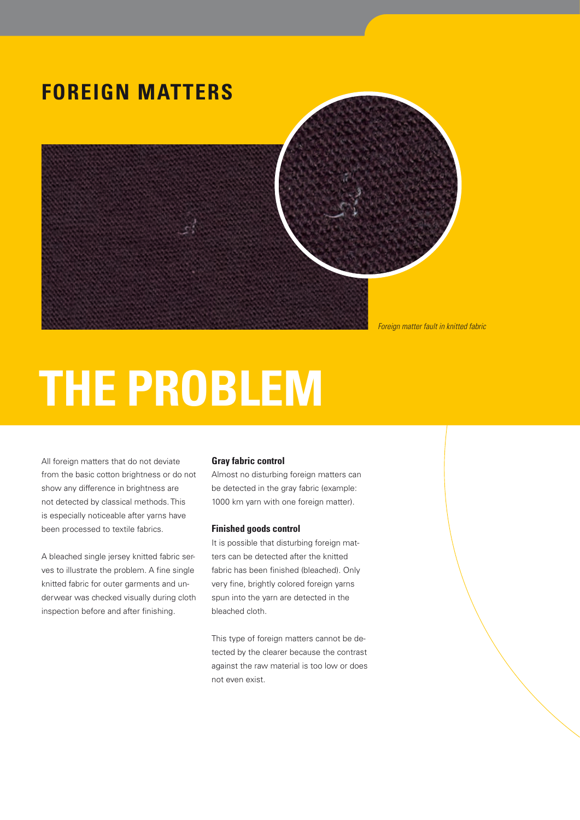## **Foreign matters**



# **The problem**

All foreign matters that do not deviate from the basic cotton brightness or do not show any difference in brightness are not detected by classical methods. This is especially noticeable after yarns have been processed to textile fabrics.

A bleached single jersey knitted fabric serves to illustrate the problem. A fine single knitted fabric for outer garments and underwear was checked visually during cloth inspection before and after finishing.

### **Gray fabric control**

Almost no disturbing foreign matters can be detected in the gray fabric (example: 1000 km yarn with one foreign matter).

### **Finished goods control**

It is possible that disturbing foreign matters can be detected after the knitted fabric has been finished (bleached). Only very fine, brightly colored foreign yarns spun into the yarn are detected in the bleached cloth.

This type of foreign matters cannot be detected by the clearer because the contrast against the raw material is too low or does not even exist.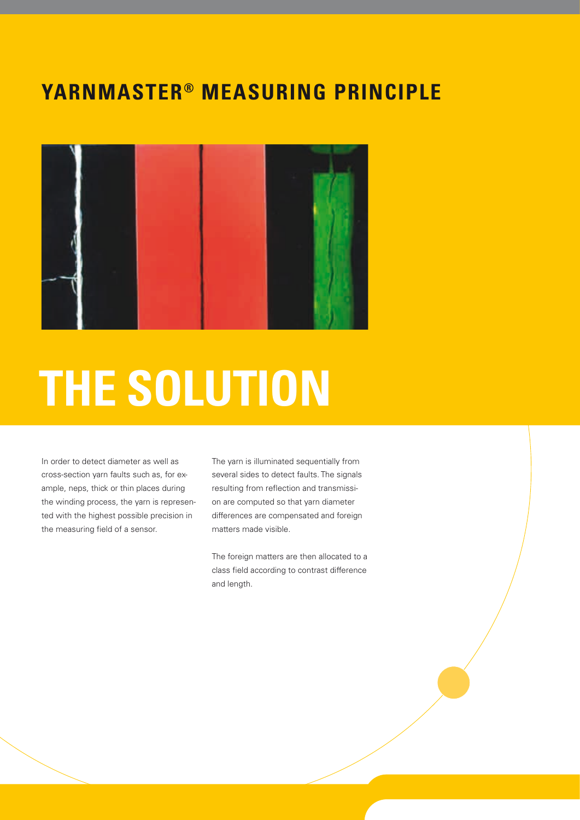### **YarnMaster® measuring principle**



# **The solution**

In order to detect diameter as well as cross-section yarn faults such as, for example, neps, thick or thin places during the winding process, the yarn is represented with the highest possible precision in the measuring field of a sensor.

The yarn is illuminated sequentially from several sides to detect faults. The signals resulting from reflection and transmission are computed so that yarn diameter differences are compensated and foreign matters made visible.

The foreign matters are then allocated to a class field according to contrast difference and length.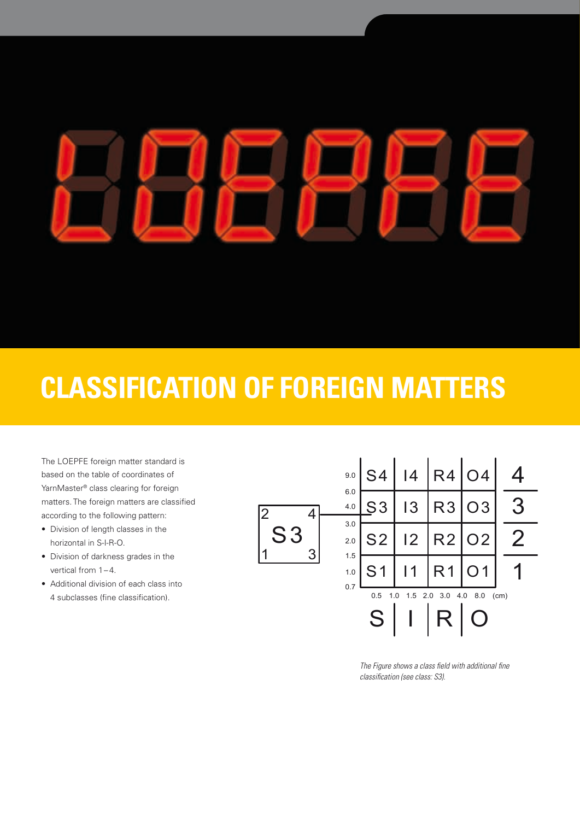# **Classification of foreign matters**

The LOEPFE foreign matter standard is based on the table of coordinates of YarnMaster® class clearing for foreign matters. The foreign matters are classified according to the following pattern:

- Division of length classes in the horizontal in S-I-R-O.
- • Division of darkness grades in the vertical from  $1-4$ .
- • Additional division of each class into 4 subclasses (fine classification).



*The Figure shows a class field with additional fine classification (see class: S3).*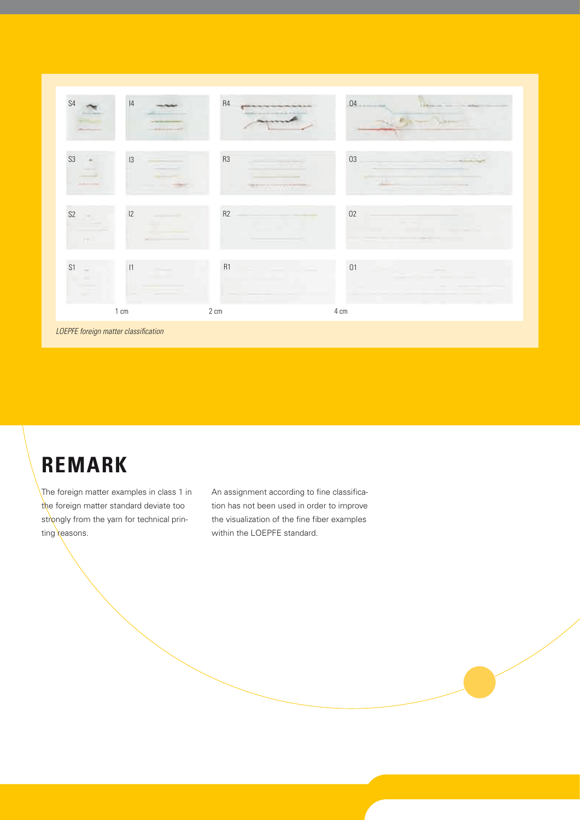

*LOEPFE foreign matter classification*

# **Remark**

The foreign matter examples in class 1 in the foreign matter standard deviate too strongly from the yarn for technical printing reasons.

An assignment according to fine classification has not been used in order to improve the visualization of the fine fiber examples within the LOEPFE standard.